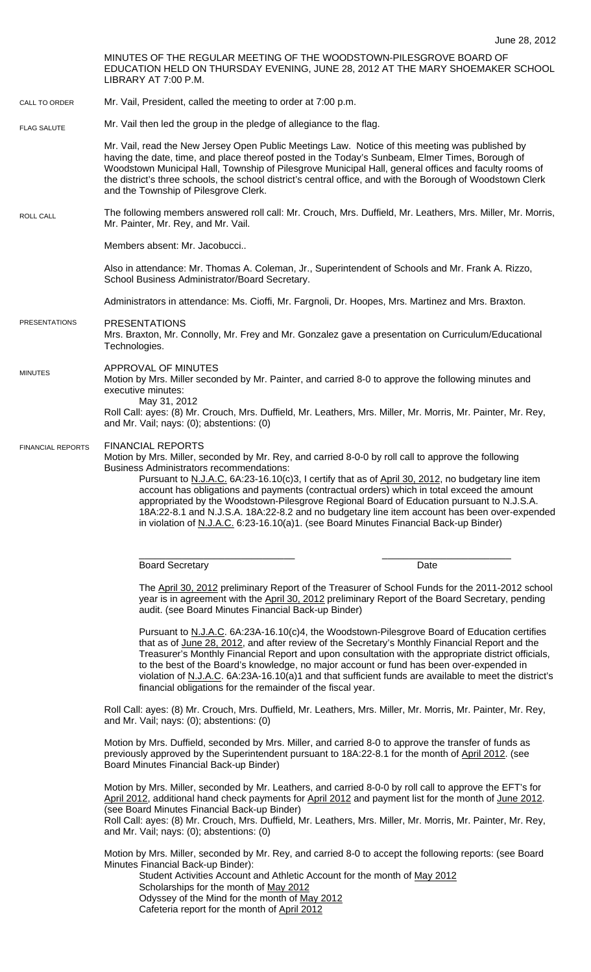MINUTES OF THE REGULAR MEETING OF THE WOODSTOWN-PILESGROVE BOARD OF EDUCATION HELD ON THURSDAY EVENING, JUNE 28, 2012 AT THE MARY SHOEMAKER SCHOOL LIBRARY AT 7:00 P.M. Mr. Vail, President, called the meeting to order at 7:00 p.m. Mr. Vail then led the group in the pledge of allegiance to the flag. Mr. Vail, read the New Jersey Open Public Meetings Law. Notice of this meeting was published by having the date, time, and place thereof posted in the Today's Sunbeam, Elmer Times, Borough of Woodstown Municipal Hall, Township of Pilesgrove Municipal Hall, general offices and faculty rooms of the district's three schools, the school district's central office, and with the Borough of Woodstown Clerk and the Township of Pilesgrove Clerk. The following members answered roll call: Mr. Crouch, Mrs. Duffield, Mr. Leathers, Mrs. Miller, Mr. Morris, Mr. Painter, Mr. Rey, and Mr. Vail. Members absent: Mr. Jacobucci.. Also in attendance: Mr. Thomas A. Coleman, Jr., Superintendent of Schools and Mr. Frank A. Rizzo, School Business Administrator/Board Secretary. Administrators in attendance: Ms. Cioffi, Mr. Fargnoli, Dr. Hoopes, Mrs. Martinez and Mrs. Braxton. PRESENTATIONS Mrs. Braxton, Mr. Connolly, Mr. Frey and Mr. Gonzalez gave a presentation on Curriculum/Educational Technologies. APPROVAL OF MINUTES Motion by Mrs. Miller seconded by Mr. Painter, and carried 8-0 to approve the following minutes and executive minutes: May 31, 2012 Roll Call: ayes: (8) Mr. Crouch, Mrs. Duffield, Mr. Leathers, Mrs. Miller, Mr. Morris, Mr. Painter, Mr. Rey, and Mr. Vail; nays: (0); abstentions: (0) FINANCIAL REPORTS Motion by Mrs. Miller, seconded by Mr. Rey, and carried 8-0-0 by roll call to approve the following Business Administrators recommendations: Pursuant to N.J.A.C. 6A:23-16.10(c)3, I certify that as of April 30, 2012, no budgetary line item account has obligations and payments (contractual orders) which in total exceed the amount appropriated by the Woodstown-Pilesgrove Regional Board of Education pursuant to N.J.S.A. 18A:22-8.1 and N.J.S.A. 18A:22-8.2 and no budgetary line item account has been over-expended in violation of N.J.A.C. 6:23-16.10(a)1. (see Board Minutes Financial Back-up Binder) \_\_\_\_\_\_\_\_\_\_\_\_\_\_\_\_\_\_\_\_\_\_\_\_\_\_\_\_\_ \_\_\_\_\_\_\_\_\_\_\_\_\_\_\_\_\_\_\_\_\_\_\_\_ Board Secretary **Date** The April 30, 2012 preliminary Report of the Treasurer of School Funds for the 2011-2012 school year is in agreement with the April 30, 2012 preliminary Report of the Board Secretary, pending audit. (see Board Minutes Financial Back-up Binder) Pursuant to N.J.A.C. 6A:23A-16.10(c)4, the Woodstown-Pilesgrove Board of Education certifies that as of June 28, 2012, and after review of the Secretary's Monthly Financial Report and the Treasurer's Monthly Financial Report and upon consultation with the appropriate district officials, to the best of the Board's knowledge, no major account or fund has been over-expended in violation of N.J.A.C. 6A:23A-16.10(a)1 and that sufficient funds are available to meet the district's financial obligations for the remainder of the fiscal year. Roll Call: ayes: (8) Mr. Crouch, Mrs. Duffield, Mr. Leathers, Mrs. Miller, Mr. Morris, Mr. Painter, Mr. Rey, and Mr. Vail; nays: (0); abstentions: (0) CALL TO ORDER ROLL CALL FLAG SALUTE MINUTES FINANCIAL REPORTS PRESENTATIONS

> Motion by Mrs. Duffield, seconded by Mrs. Miller, and carried 8-0 to approve the transfer of funds as previously approved by the Superintendent pursuant to 18A:22-8.1 for the month of April 2012. (see Board Minutes Financial Back-up Binder)

Motion by Mrs. Miller, seconded by Mr. Leathers, and carried 8-0-0 by roll call to approve the EFT's for April 2012, additional hand check payments for April 2012 and payment list for the month of June 2012. (see Board Minutes Financial Back-up Binder)

Roll Call: ayes: (8) Mr. Crouch, Mrs. Duffield, Mr. Leathers, Mrs. Miller, Mr. Morris, Mr. Painter, Mr. Rey, and Mr. Vail; nays: (0); abstentions: (0)

Motion by Mrs. Miller, seconded by Mr. Rey, and carried 8-0 to accept the following reports: (see Board Minutes Financial Back-up Binder):

Student Activities Account and Athletic Account for the month of May 2012 Scholarships for the month of May 2012 Odyssey of the Mind for the month of May 2012 Cafeteria report for the month of April 2012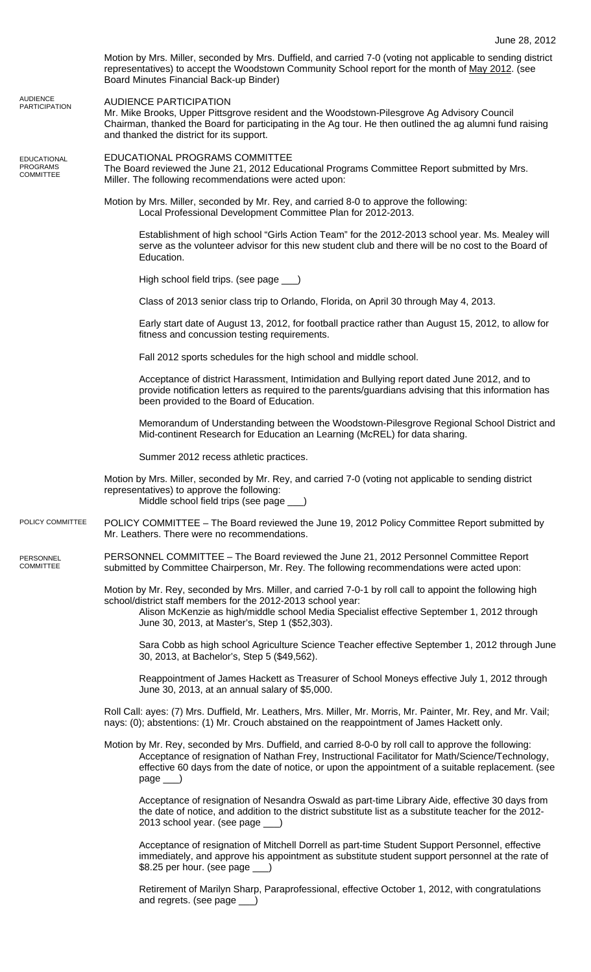|                                                           | Motion by Mrs. Miller, seconded by Mrs. Duffield, and carried 7-0 (voting not applicable to sending district<br>representatives) to accept the Woodstown Community School report for the month of May 2012. (see<br>Board Minutes Financial Back-up Binder)                                                                             |
|-----------------------------------------------------------|-----------------------------------------------------------------------------------------------------------------------------------------------------------------------------------------------------------------------------------------------------------------------------------------------------------------------------------------|
| <b>AUDIENCE</b><br><b>PARTICIPATION</b>                   | <b>AUDIENCE PARTICIPATION</b><br>Mr. Mike Brooks, Upper Pittsgrove resident and the Woodstown-Pilesgrove Ag Advisory Council<br>Chairman, thanked the Board for participating in the Ag tour. He then outlined the ag alumni fund raising<br>and thanked the district for its support.                                                  |
| <b>EDUCATIONAL</b><br><b>PROGRAMS</b><br><b>COMMITTEE</b> | EDUCATIONAL PROGRAMS COMMITTEE<br>The Board reviewed the June 21, 2012 Educational Programs Committee Report submitted by Mrs.<br>Miller. The following recommendations were acted upon:                                                                                                                                                |
|                                                           | Motion by Mrs. Miller, seconded by Mr. Rey, and carried 8-0 to approve the following:<br>Local Professional Development Committee Plan for 2012-2013.                                                                                                                                                                                   |
|                                                           | Establishment of high school "Girls Action Team" for the 2012-2013 school year. Ms. Mealey will<br>serve as the volunteer advisor for this new student club and there will be no cost to the Board of<br>Education.                                                                                                                     |
|                                                           | High school field trips. (see page __)                                                                                                                                                                                                                                                                                                  |
|                                                           | Class of 2013 senior class trip to Orlando, Florida, on April 30 through May 4, 2013.                                                                                                                                                                                                                                                   |
|                                                           | Early start date of August 13, 2012, for football practice rather than August 15, 2012, to allow for<br>fitness and concussion testing requirements.                                                                                                                                                                                    |
|                                                           | Fall 2012 sports schedules for the high school and middle school.                                                                                                                                                                                                                                                                       |
|                                                           | Acceptance of district Harassment, Intimidation and Bullying report dated June 2012, and to<br>provide notification letters as required to the parents/guardians advising that this information has<br>been provided to the Board of Education.                                                                                         |
|                                                           | Memorandum of Understanding between the Woodstown-Pilesgrove Regional School District and<br>Mid-continent Research for Education an Learning (McREL) for data sharing.                                                                                                                                                                 |
|                                                           | Summer 2012 recess athletic practices.                                                                                                                                                                                                                                                                                                  |
|                                                           | Motion by Mrs. Miller, seconded by Mr. Rey, and carried 7-0 (voting not applicable to sending district<br>representatives) to approve the following:<br>Middle school field trips (see page ___)                                                                                                                                        |
| POLICY COMMITTEE                                          | POLICY COMMITTEE - The Board reviewed the June 19, 2012 Policy Committee Report submitted by<br>Mr. Leathers. There were no recommendations.                                                                                                                                                                                            |
| PERSONNEL<br><b>COMMITTEE</b>                             | PERSONNEL COMMITTEE - The Board reviewed the June 21, 2012 Personnel Committee Report<br>submitted by Committee Chairperson, Mr. Rey. The following recommendations were acted upon:                                                                                                                                                    |
|                                                           | Motion by Mr. Rey, seconded by Mrs. Miller, and carried 7-0-1 by roll call to appoint the following high<br>school/district staff members for the 2012-2013 school year:<br>Alison McKenzie as high/middle school Media Specialist effective September 1, 2012 through<br>June 30, 2013, at Master's, Step 1 (\$52,303).                |
|                                                           | Sara Cobb as high school Agriculture Science Teacher effective September 1, 2012 through June<br>30, 2013, at Bachelor's, Step 5 (\$49,562).                                                                                                                                                                                            |
|                                                           | Reappointment of James Hackett as Treasurer of School Moneys effective July 1, 2012 through<br>June 30, 2013, at an annual salary of \$5,000.                                                                                                                                                                                           |
|                                                           | Roll Call: ayes: (7) Mrs. Duffield, Mr. Leathers, Mrs. Miller, Mr. Morris, Mr. Painter, Mr. Rey, and Mr. Vail;<br>nays: (0); abstentions: (1) Mr. Crouch abstained on the reappointment of James Hackett only.                                                                                                                          |
|                                                           | Motion by Mr. Rey, seconded by Mrs. Duffield, and carried 8-0-0 by roll call to approve the following:<br>Acceptance of resignation of Nathan Frey, Instructional Facilitator for Math/Science/Technology,<br>effective 60 days from the date of notice, or upon the appointment of a suitable replacement. (see<br>$page$ <sub>)</sub> |
|                                                           | Acceptance of resignation of Nesandra Oswald as part-time Library Aide, effective 30 days from<br>the date of notice, and addition to the district substitute list as a substitute teacher for the 2012-<br>2013 school year. (see page __)                                                                                             |
|                                                           | Acceptance of resignation of Mitchell Dorrell as part-time Student Support Personnel, effective<br>immediately, and approve his appointment as substitute student support personnel at the rate of<br>\$8.25 per hour. (see page $\qquad$ )                                                                                             |
|                                                           | Retirement of Marilyn Sharp, Paraprofessional, effective October 1, 2012, with congratulations<br>and regrets. (see page ___)                                                                                                                                                                                                           |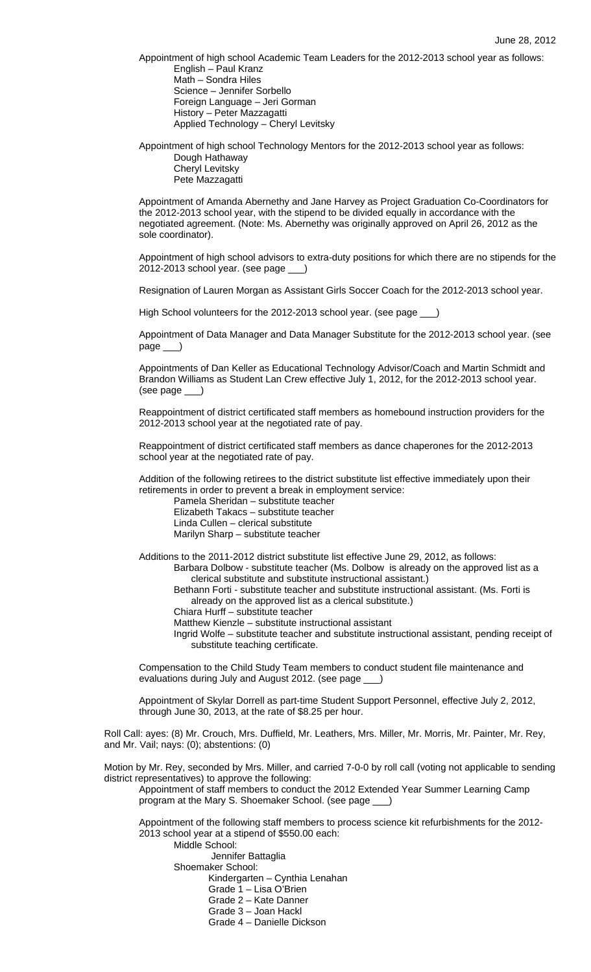Appointment of high school Academic Team Leaders for the 2012-2013 school year as follows: English – Paul Kranz Math – Sondra Hiles Science – Jennifer Sorbello Foreign Language – Jeri Gorman History – Peter Mazzagatti Applied Technology – Cheryl Levitsky

Appointment of high school Technology Mentors for the 2012-2013 school year as follows: Dough Hathaway

 Cheryl Levitsky Pete Mazzagatti

Appointment of Amanda Abernethy and Jane Harvey as Project Graduation Co-Coordinators for the 2012-2013 school year, with the stipend to be divided equally in accordance with the negotiated agreement. (Note: Ms. Abernethy was originally approved on April 26, 2012 as the sole coordinator).

Appointment of high school advisors to extra-duty positions for which there are no stipends for the 2012-2013 school year. (see page

Resignation of Lauren Morgan as Assistant Girls Soccer Coach for the 2012-2013 school year.

High School volunteers for the 2012-2013 school year. (see page \_\_\_)

Appointment of Data Manager and Data Manager Substitute for the 2012-2013 school year. (see page

Appointments of Dan Keller as Educational Technology Advisor/Coach and Martin Schmidt and Brandon Williams as Student Lan Crew effective July 1, 2012, for the 2012-2013 school year. (see page \_\_\_)

Reappointment of district certificated staff members as homebound instruction providers for the 2012-2013 school year at the negotiated rate of pay.

Reappointment of district certificated staff members as dance chaperones for the 2012-2013 school year at the negotiated rate of pay.

Addition of the following retirees to the district substitute list effective immediately upon their retirements in order to prevent a break in employment service:

 Pamela Sheridan – substitute teacher Elizabeth Takacs – substitute teacher Linda Cullen – clerical substitute Marilyn Sharp – substitute teacher

- Additions to the 2011-2012 district substitute list effective June 29, 2012, as follows: Barbara Dolbow - substitute teacher (Ms. Dolbow is already on the approved list as a clerical substitute and substitute instructional assistant.)
	- Bethann Forti substitute teacher and substitute instructional assistant. (Ms. Forti is already on the approved list as a clerical substitute.)
	- Chiara Hurff substitute teacher

Matthew Kienzle – substitute instructional assistant

Ingrid Wolfe – substitute teacher and substitute instructional assistant, pending receipt of substitute teaching certificate.

Compensation to the Child Study Team members to conduct student file maintenance and evaluations during July and August 2012. (see page \_\_\_)

Appointment of Skylar Dorrell as part-time Student Support Personnel, effective July 2, 2012, through June 30, 2013, at the rate of \$8.25 per hour.

Roll Call: ayes: (8) Mr. Crouch, Mrs. Duffield, Mr. Leathers, Mrs. Miller, Mr. Morris, Mr. Painter, Mr. Rey, and Mr. Vail; nays: (0); abstentions: (0)

Motion by Mr. Rey, seconded by Mrs. Miller, and carried 7-0-0 by roll call (voting not applicable to sending district representatives) to approve the following:

Appointment of staff members to conduct the 2012 Extended Year Summer Learning Camp program at the Mary S. Shoemaker School. (see page \_

Appointment of the following staff members to process science kit refurbishments for the 2012- 2013 school year at a stipend of \$550.00 each:

 Middle School: Jennifer Battaglia Shoemaker School: Kindergarten – Cynthia Lenahan Grade 1 – Lisa O'Brien Grade 2 – Kate Danner Grade 3 – Joan Hackl

Grade 4 – Danielle Dickson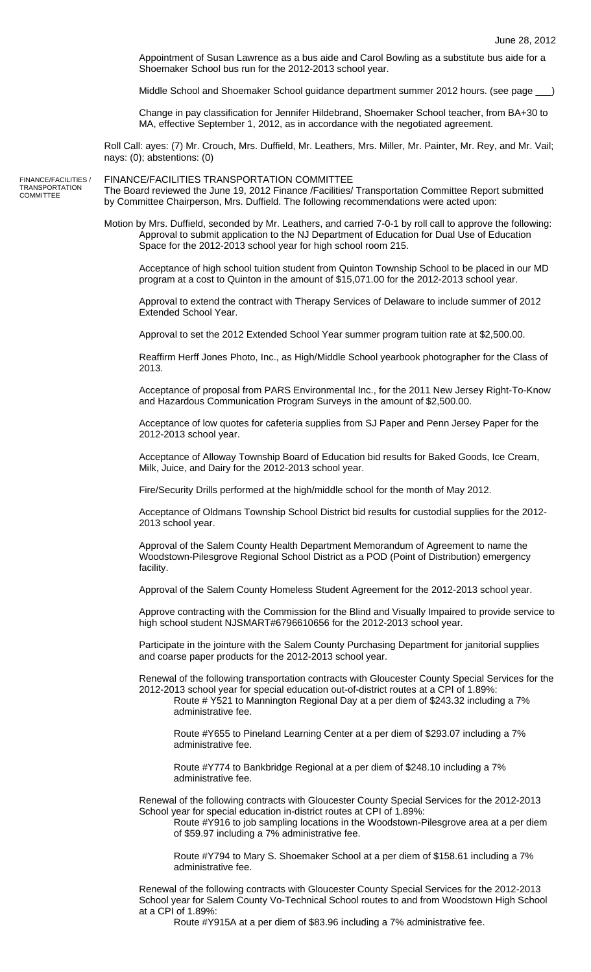Appointment of Susan Lawrence as a bus aide and Carol Bowling as a substitute bus aide for a Shoemaker School bus run for the 2012-2013 school year.

Middle School and Shoemaker School guidance department summer 2012 hours. (see page \_\_\_)

Change in pay classification for Jennifer Hildebrand, Shoemaker School teacher, from BA+30 to MA, effective September 1, 2012, as in accordance with the negotiated agreement.

Roll Call: ayes: (7) Mr. Crouch, Mrs. Duffield, Mr. Leathers, Mrs. Miller, Mr. Painter, Mr. Rey, and Mr. Vail; nays: (0); abstentions: (0)

FINANCE/FACILITIES / TRANSPORTATION **COMMITTEE** 

FINANCE/FACILITIES TRANSPORTATION COMMITTEE The Board reviewed the June 19, 2012 Finance /Facilities/ Transportation Committee Report submitted by Committee Chairperson, Mrs. Duffield. The following recommendations were acted upon:

Motion by Mrs. Duffield, seconded by Mr. Leathers, and carried 7-0-1 by roll call to approve the following: Approval to submit application to the NJ Department of Education for Dual Use of Education Space for the 2012-2013 school year for high school room 215.

Acceptance of high school tuition student from Quinton Township School to be placed in our MD program at a cost to Quinton in the amount of \$15,071.00 for the 2012-2013 school year.

Approval to extend the contract with Therapy Services of Delaware to include summer of 2012 Extended School Year.

Approval to set the 2012 Extended School Year summer program tuition rate at \$2,500.00.

Reaffirm Herff Jones Photo, Inc., as High/Middle School yearbook photographer for the Class of 2013.

Acceptance of proposal from PARS Environmental Inc., for the 2011 New Jersey Right-To-Know and Hazardous Communication Program Surveys in the amount of \$2,500.00.

Acceptance of low quotes for cafeteria supplies from SJ Paper and Penn Jersey Paper for the 2012-2013 school year.

Acceptance of Alloway Township Board of Education bid results for Baked Goods, Ice Cream, Milk, Juice, and Dairy for the 2012-2013 school year.

Fire/Security Drills performed at the high/middle school for the month of May 2012.

Acceptance of Oldmans Township School District bid results for custodial supplies for the 2012- 2013 school year.

Approval of the Salem County Health Department Memorandum of Agreement to name the Woodstown-Pilesgrove Regional School District as a POD (Point of Distribution) emergency facility.

Approval of the Salem County Homeless Student Agreement for the 2012-2013 school year.

Approve contracting with the Commission for the Blind and Visually Impaired to provide service to high school student NJSMART#6796610656 for the 2012-2013 school year.

Participate in the jointure with the Salem County Purchasing Department for janitorial supplies and coarse paper products for the 2012-2013 school year.

Renewal of the following transportation contracts with Gloucester County Special Services for the 2012-2013 school year for special education out-of-district routes at a CPI of 1.89%:

Route # Y521 to Mannington Regional Day at a per diem of \$243.32 including a 7% administrative fee.

Route #Y655 to Pineland Learning Center at a per diem of \$293.07 including a 7% administrative fee.

Route #Y774 to Bankbridge Regional at a per diem of \$248.10 including a 7% administrative fee.

Renewal of the following contracts with Gloucester County Special Services for the 2012-2013 School year for special education in-district routes at CPI of 1.89%:

Route #Y916 to job sampling locations in the Woodstown-Pilesgrove area at a per diem of \$59.97 including a 7% administrative fee.

Route #Y794 to Mary S. Shoemaker School at a per diem of \$158.61 including a 7% administrative fee.

Renewal of the following contracts with Gloucester County Special Services for the 2012-2013 School year for Salem County Vo-Technical School routes to and from Woodstown High School at a CPI of 1.89%:

Route #Y915A at a per diem of \$83.96 including a 7% administrative fee.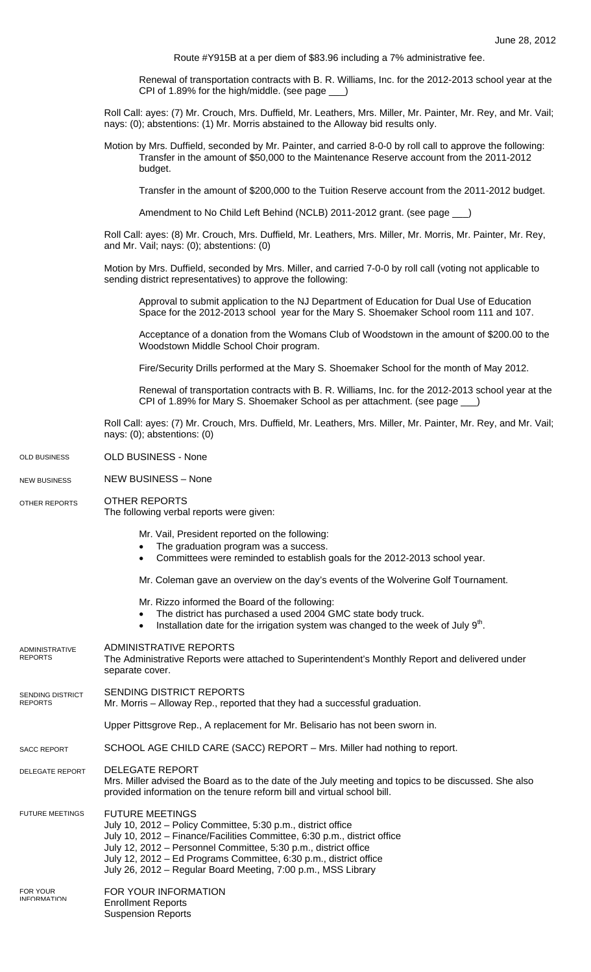Route #Y915B at a per diem of \$83.96 including a 7% administrative fee.

Renewal of transportation contracts with B. R. Williams, Inc. for the 2012-2013 school year at the CPI of 1.89% for the high/middle. (see page \_\_\_)

Roll Call: ayes: (7) Mr. Crouch, Mrs. Duffield, Mr. Leathers, Mrs. Miller, Mr. Painter, Mr. Rey, and Mr. Vail; nays: (0); abstentions: (1) Mr. Morris abstained to the Alloway bid results only.

Motion by Mrs. Duffield, seconded by Mr. Painter, and carried 8-0-0 by roll call to approve the following: Transfer in the amount of \$50,000 to the Maintenance Reserve account from the 2011-2012 budget.

Transfer in the amount of \$200,000 to the Tuition Reserve account from the 2011-2012 budget.

Amendment to No Child Left Behind (NCLB) 2011-2012 grant. (see page \_\_\_)

Roll Call: ayes: (8) Mr. Crouch, Mrs. Duffield, Mr. Leathers, Mrs. Miller, Mr. Morris, Mr. Painter, Mr. Rey, and Mr. Vail; nays: (0); abstentions: (0)

Motion by Mrs. Duffield, seconded by Mrs. Miller, and carried 7-0-0 by roll call (voting not applicable to sending district representatives) to approve the following:

Approval to submit application to the NJ Department of Education for Dual Use of Education Space for the 2012-2013 school year for the Mary S. Shoemaker School room 111 and 107.

Acceptance of a donation from the Womans Club of Woodstown in the amount of \$200.00 to the Woodstown Middle School Choir program.

Fire/Security Drills performed at the Mary S. Shoemaker School for the month of May 2012.

Renewal of transportation contracts with B. R. Williams, Inc. for the 2012-2013 school year at the CPI of 1.89% for Mary S. Shoemaker School as per attachment. (see page \_

Roll Call: ayes: (7) Mr. Crouch, Mrs. Duffield, Mr. Leathers, Mrs. Miller, Mr. Painter, Mr. Rey, and Mr. Vail; nays: (0); abstentions: (0)

- OLD BUSINESS None OLD BUSINESS
- NEW BUSINESS None NEW BUSINESS

OTHER REPORTS OTHER REPORTS

The following verbal reports were given:

Mr. Vail, President reported on the following:

- The graduation program was a success.
- Committees were reminded to establish goals for the 2012-2013 school year.

Mr. Coleman gave an overview on the day's events of the Wolverine Golf Tournament.

- Mr. Rizzo informed the Board of the following:
- The district has purchased a used 2004 GMC state body truck.
- Installation date for the irrigation system was changed to the week of July  $9<sup>th</sup>$ .

| <b>ADMINISTRATIVE</b><br><b>REPORTS</b>   | ADMINISTRATIVE REPORTS<br>The Administrative Reports were attached to Superintendent's Monthly Report and delivered under<br>separate cover.                                                                                                                                                                                                                                |
|-------------------------------------------|-----------------------------------------------------------------------------------------------------------------------------------------------------------------------------------------------------------------------------------------------------------------------------------------------------------------------------------------------------------------------------|
| <b>SENDING DISTRICT</b><br><b>REPORTS</b> | SENDING DISTRICT REPORTS<br>Mr. Morris – Alloway Rep., reported that they had a successful graduation.                                                                                                                                                                                                                                                                      |
|                                           | Upper Pittsgrove Rep., A replacement for Mr. Belisario has not been sworn in.                                                                                                                                                                                                                                                                                               |
| <b>SACC REPORT</b>                        | SCHOOL AGE CHILD CARE (SACC) REPORT - Mrs. Miller had nothing to report.                                                                                                                                                                                                                                                                                                    |
| <b>DELEGATE REPORT</b>                    | <b>DELEGATE REPORT</b><br>Mrs. Miller advised the Board as to the date of the July meeting and topics to be discussed. She also<br>provided information on the tenure reform bill and virtual school bill.                                                                                                                                                                  |
| <b>FUTURE MEETINGS</b>                    | <b>FUTURE MEETINGS</b><br>July 10, 2012 - Policy Committee, 5:30 p.m., district office<br>July 10, 2012 – Finance/Facilities Committee, 6:30 p.m., district office<br>July 12, 2012 – Personnel Committee, 5:30 p.m., district office<br>July 12, 2012 – Ed Programs Committee, 6:30 p.m., district office<br>July 26, 2012 – Regular Board Meeting, 7:00 p.m., MSS Library |
| <b>FOR YOUR</b><br><b>INFORMATION</b>     | FOR YOUR INFORMATION<br><b>Enrollment Reports</b><br><b>Suspension Reports</b>                                                                                                                                                                                                                                                                                              |